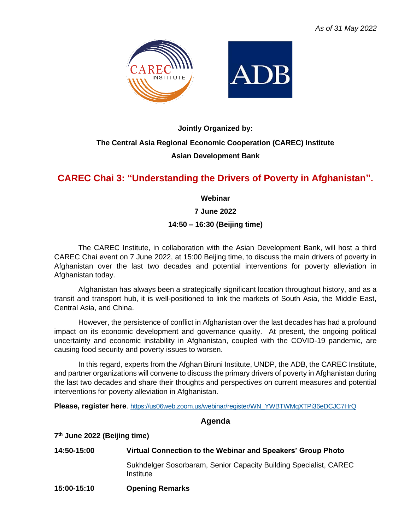

# **Jointly Organized by: The Central Asia Regional Economic Cooperation (CAREC) Institute Asian Development Bank**

## **CAREC Chai 3: "Understanding the Drivers of Poverty in Afghanistan".**

**Webinar**

**7 June 2022**

#### **14:50 – 16:30 (Beijing time)**

The CAREC Institute, in collaboration with the Asian Development Bank, will host a third CAREC Chai event on 7 June 2022, at 15:00 Beijing time, to discuss the main drivers of poverty in Afghanistan over the last two decades and potential interventions for poverty alleviation in Afghanistan today.

Afghanistan has always been a strategically significant location throughout history, and as a transit and transport hub, it is well-positioned to link the markets of South Asia, the Middle East, Central Asia, and China.

However, the persistence of conflict in Afghanistan over the last decades has had a profound impact on its economic development and governance quality. At present, the ongoing political uncertainty and economic instability in Afghanistan, coupled with the COVID-19 pandemic, are causing food security and poverty issues to worsen.

In this regard, experts from the Afghan Biruni Institute, UNDP, the ADB, the CAREC Institute, and partner organizations will convene to discuss the primary drivers of poverty in Afghanistan during the last two decades and share their thoughts and perspectives on current measures and potential interventions for poverty alleviation in Afghanistan.

**Please, register here**. [https://us06web.zoom.us/webinar/register/WN\\_YWBTWMqXTPi36eDCJC7HrQ](https://us06web.zoom.us/webinar/register/WN_YWBTWMqXTPi36eDCJC7HrQ)

#### **Agenda**

**7 th June 2022 (Beijing time)**

| 14:50-15:00 | Virtual Connection to the Webinar and Speakers' Group Photo                    |
|-------------|--------------------------------------------------------------------------------|
|             | Sukhdelger Sosorbaram, Senior Capacity Building Specialist, CAREC<br>Institute |
| 15:00-15:10 | <b>Opening Remarks</b>                                                         |